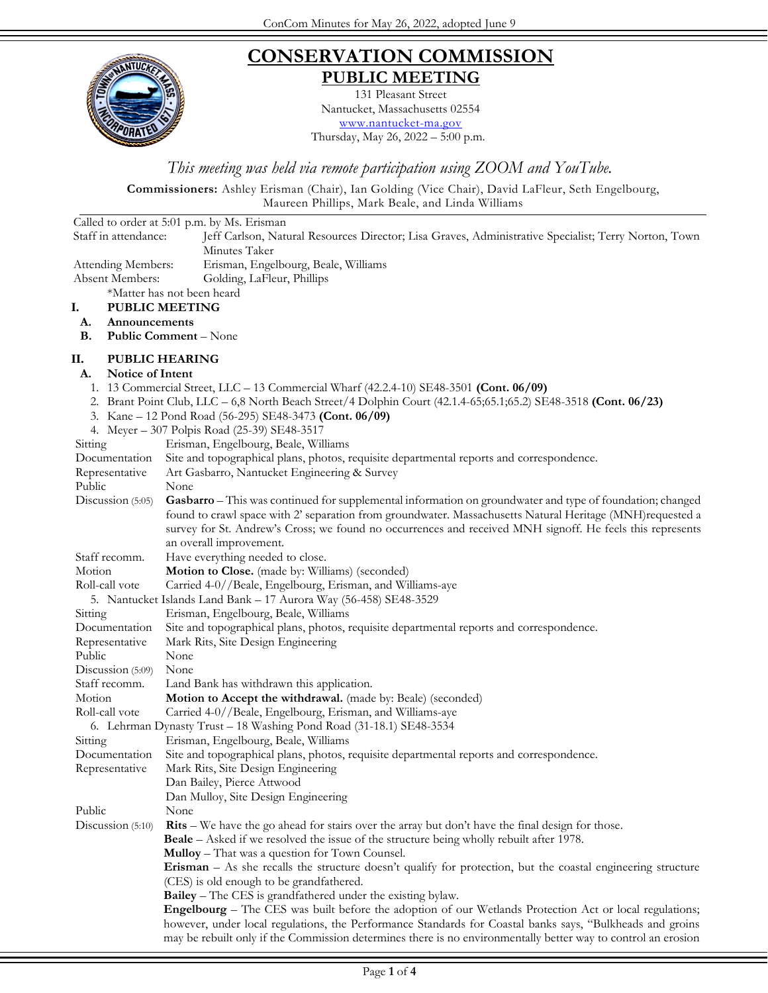

## **CONSERVATION COMMISSION PUBLIC MEETING**

131 Pleasant Street Nantucket, Massachusetts 02554 [www.nantucket-ma.gov](http://www.nantucket-ma.gov/)

Thursday, May 26, 2022 – 5:00 p.m.

*This meeting was held via remote participation using ZOOM and YouTube.*

**Commissioners:** Ashley Erisman (Chair), Ian Golding (Vice Chair), David LaFleur, Seth Engelbourg, Maureen Phillips, Mark Beale, and Linda Williams

|                        | Called to order at 5:01 p.m. by Ms. Erisman                                                                                                                                                                                |
|------------------------|----------------------------------------------------------------------------------------------------------------------------------------------------------------------------------------------------------------------------|
| Staff in attendance:   | Jeff Carlson, Natural Resources Director; Lisa Graves, Administrative Specialist; Terry Norton, Town                                                                                                                       |
|                        | Minutes Taker                                                                                                                                                                                                              |
| Attending Members:     | Erisman, Engelbourg, Beale, Williams                                                                                                                                                                                       |
| Absent Members:        | Golding, LaFleur, Phillips                                                                                                                                                                                                 |
|                        | *Matter has not been heard                                                                                                                                                                                                 |
| I.                     | <b>PUBLIC MEETING</b>                                                                                                                                                                                                      |
| Announcements<br>A.    |                                                                                                                                                                                                                            |
| В.                     | <b>Public Comment - None</b>                                                                                                                                                                                               |
| П.                     | <b>PUBLIC HEARING</b>                                                                                                                                                                                                      |
| A.<br>Notice of Intent |                                                                                                                                                                                                                            |
|                        | 1. 13 Commercial Street, LLC - 13 Commercial Wharf (42.2.4-10) SE48-3501 (Cont. 06/09)                                                                                                                                     |
|                        | 2. Brant Point Club, LLC – 6,8 North Beach Street/4 Dolphin Court (42.1.4-65;65.1;65.2) SE48-3518 (Cont. 06/23)                                                                                                            |
|                        | 3. Kane – 12 Pond Road (56-295) SE48-3473 (Cont. 06/09)                                                                                                                                                                    |
|                        | 4. Meyer - 307 Polpis Road (25-39) SE48-3517                                                                                                                                                                               |
| Sitting                | Erisman, Engelbourg, Beale, Williams                                                                                                                                                                                       |
| Documentation          | Site and topographical plans, photos, requisite departmental reports and correspondence.                                                                                                                                   |
| Representative         | Art Gasbarro, Nantucket Engineering & Survey                                                                                                                                                                               |
| Public                 | None                                                                                                                                                                                                                       |
| Discussion (5:05)      | Gasbarro - This was continued for supplemental information on groundwater and type of foundation; changed                                                                                                                  |
|                        | found to crawl space with 2' separation from groundwater. Massachusetts Natural Heritage (MNH) requested a<br>survey for St. Andrew's Cross; we found no occurrences and received MNH signoff. He feels this represents    |
|                        | an overall improvement.                                                                                                                                                                                                    |
| Staff recomm.          | Have everything needed to close.                                                                                                                                                                                           |
| Motion                 | Motion to Close. (made by: Williams) (seconded)                                                                                                                                                                            |
| Roll-call vote         | Carried 4-0//Beale, Engelbourg, Erisman, and Williams-aye                                                                                                                                                                  |
|                        | 5. Nantucket Islands Land Bank - 17 Aurora Way (56-458) SE48-3529                                                                                                                                                          |
| Sitting                | Erisman, Engelbourg, Beale, Williams                                                                                                                                                                                       |
| Documentation          | Site and topographical plans, photos, requisite departmental reports and correspondence.                                                                                                                                   |
| Representative         | Mark Rits, Site Design Engineering                                                                                                                                                                                         |
| Public                 | None                                                                                                                                                                                                                       |
| Discussion (5:09)      | None                                                                                                                                                                                                                       |
| Staff recomm.          | Land Bank has withdrawn this application.                                                                                                                                                                                  |
| Motion                 | Motion to Accept the withdrawal. (made by: Beale) (seconded)                                                                                                                                                               |
| Roll-call vote         | Carried 4-0//Beale, Engelbourg, Erisman, and Williams-aye                                                                                                                                                                  |
|                        | 6. Lehrman Dynasty Trust - 18 Washing Pond Road (31-18.1) SE48-3534                                                                                                                                                        |
| Sitting                | Erisman, Engelbourg, Beale, Williams                                                                                                                                                                                       |
| Documentation          | Site and topographical plans, photos, requisite departmental reports and correspondence.                                                                                                                                   |
| Representative         | Mark Rits, Site Design Engineering                                                                                                                                                                                         |
|                        | Dan Bailey, Pierce Attwood                                                                                                                                                                                                 |
|                        | Dan Mulloy, Site Design Engineering                                                                                                                                                                                        |
| Public                 | None                                                                                                                                                                                                                       |
| Discussion $(5:10)$    | <b>Rits</b> – We have the go ahead for stairs over the array but don't have the final design for those.                                                                                                                    |
|                        | <b>Beale</b> – Asked if we resolved the issue of the structure being wholly rebuilt after 1978.                                                                                                                            |
|                        | <b>Mulloy</b> – That was a question for Town Counsel.                                                                                                                                                                      |
|                        | Erisman - As she recalls the structure doesn't qualify for protection, but the coastal engineering structure                                                                                                               |
|                        | (CES) is old enough to be grandfathered.                                                                                                                                                                                   |
|                        | <b>Bailey</b> – The CES is grandfathered under the existing bylaw.                                                                                                                                                         |
|                        | Engelbourg - The CES was built before the adoption of our Wetlands Protection Act or local regulations;                                                                                                                    |
|                        | however, under local regulations, the Performance Standards for Coastal banks says, "Bulkheads and groins<br>may be rebuilt only if the Commission determines there is no environmentally better way to control an erosion |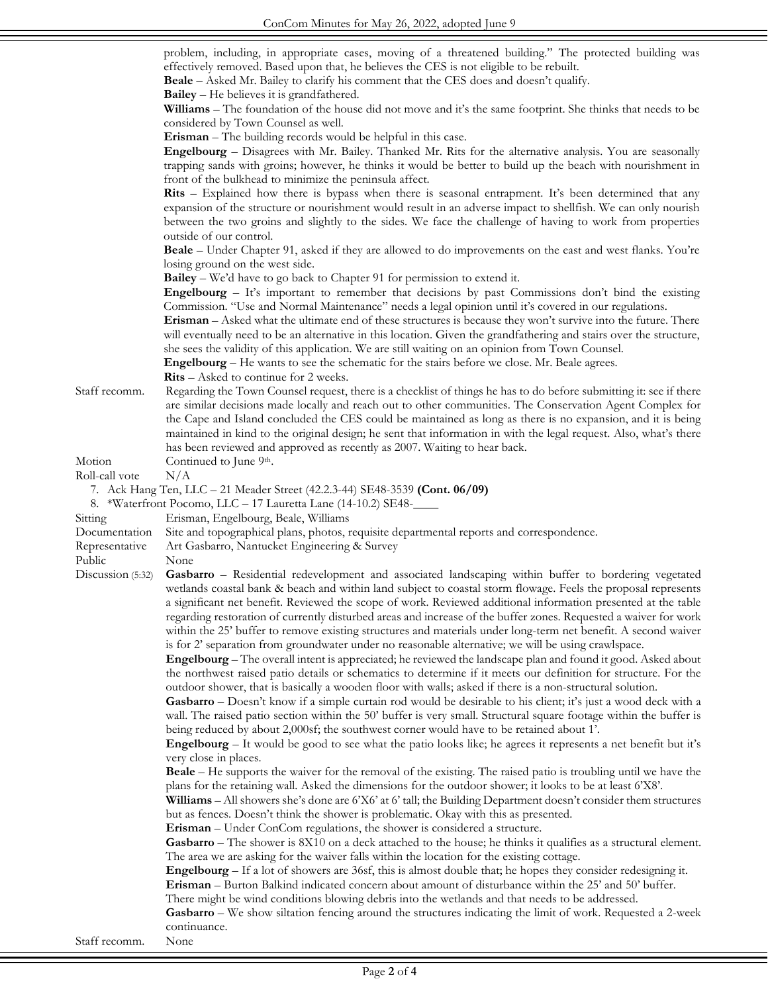problem, including, in appropriate cases, moving of a threatened building." The protected building was effectively removed. Based upon that, he believes the CES is not eligible to be rebuilt.

**Beale** – Asked Mr. Bailey to clarify his comment that the CES does and doesn't qualify.

**Bailey** – He believes it is grandfathered.

**Williams** – The foundation of the house did not move and it's the same footprint. She thinks that needs to be considered by Town Counsel as well.

**Erisman** – The building records would be helpful in this case.

**Engelbourg** – Disagrees with Mr. Bailey. Thanked Mr. Rits for the alternative analysis. You are seasonally trapping sands with groins; however, he thinks it would be better to build up the beach with nourishment in front of the bulkhead to minimize the peninsula affect.

**Rits** – Explained how there is bypass when there is seasonal entrapment. It's been determined that any expansion of the structure or nourishment would result in an adverse impact to shellfish. We can only nourish between the two groins and slightly to the sides. We face the challenge of having to work from properties outside of our control.

**Beale** – Under Chapter 91, asked if they are allowed to do improvements on the east and west flanks. You're losing ground on the west side.

**Bailey** – We'd have to go back to Chapter 91 for permission to extend it.

**Engelbourg** – It's important to remember that decisions by past Commissions don't bind the existing Commission. "Use and Normal Maintenance" needs a legal opinion until it's covered in our regulations.

**Erisman** – Asked what the ultimate end of these structures is because they won't survive into the future. There will eventually need to be an alternative in this location. Given the grandfathering and stairs over the structure, she sees the validity of this application. We are still waiting on an opinion from Town Counsel.

**Engelbourg** – He wants to see the schematic for the stairs before we close. Mr. Beale agrees.

**Rits** – Asked to continue for 2 weeks.

Staff recomm. Regarding the Town Counsel request, there is a checklist of things he has to do before submitting it: see if there are similar decisions made locally and reach out to other communities. The Conservation Agent Complex for the Cape and Island concluded the CES could be maintained as long as there is no expansion, and it is being maintained in kind to the original design; he sent that information in with the legal request. Also, what's there has been reviewed and approved as recently as 2007. Waiting to hear back. Motion Continued to June 9<sup>th</sup>.

Roll-call vote  $N/A$ 

7. Ack Hang Ten, LLC – 21 Meader Street (42.2.3-44) SE48-3539 **(Cont. 06/09)**

8. \*Waterfront Pocomo, LLC – 17 Lauretta Lane (14-10.2) SE48-\_\_\_\_

- Sitting Erisman, Engelbourg, Beale, Williams
- Documentation Site and topographical plans, photos, requisite departmental reports and correspondence.
- Representative Art Gasbarro, Nantucket Engineering & Survey
- Public None
- Discussion (5:32) **Gasbarro** Residential redevelopment and associated landscaping within buffer to bordering vegetated wetlands coastal bank & beach and within land subject to coastal storm flowage. Feels the proposal represents a significant net benefit. Reviewed the scope of work. Reviewed additional information presented at the table regarding restoration of currently disturbed areas and increase of the buffer zones. Requested a waiver for work within the 25' buffer to remove existing structures and materials under long-term net benefit. A second waiver is for 2' separation from groundwater under no reasonable alternative; we will be using crawlspace.

**Engelbourg** – The overall intent is appreciated; he reviewed the landscape plan and found it good. Asked about the northwest raised patio details or schematics to determine if it meets our definition for structure. For the outdoor shower, that is basically a wooden floor with walls; asked if there is a non-structural solution.

**Gasbarro** – Doesn't know if a simple curtain rod would be desirable to his client; it's just a wood deck with a wall. The raised patio section within the 50' buffer is very small. Structural square footage within the buffer is being reduced by about 2,000sf; the southwest corner would have to be retained about 1'.

**Engelbourg** – It would be good to see what the patio looks like; he agrees it represents a net benefit but it's very close in places.

**Beale** – He supports the waiver for the removal of the existing. The raised patio is troubling until we have the plans for the retaining wall. Asked the dimensions for the outdoor shower; it looks to be at least 6'X8'.

**Williams** – All showers she's done are 6'X6' at 6' tall; the Building Department doesn't consider them structures but as fences. Doesn't think the shower is problematic. Okay with this as presented.

**Erisman** – Under ConCom regulations, the shower is considered a structure.

**Gasbarro** – The shower is 8X10 on a deck attached to the house; he thinks it qualifies as a structural element. The area we are asking for the waiver falls within the location for the existing cottage.

**Engelbourg** – If a lot of showers are 36sf, this is almost double that; he hopes they consider redesigning it. **Erisman** – Burton Balkind indicated concern about amount of disturbance within the 25' and 50' buffer.

There might be wind conditions blowing debris into the wetlands and that needs to be addressed.

**Gasbarro** – We show siltation fencing around the structures indicating the limit of work. Requested a 2-week continuance.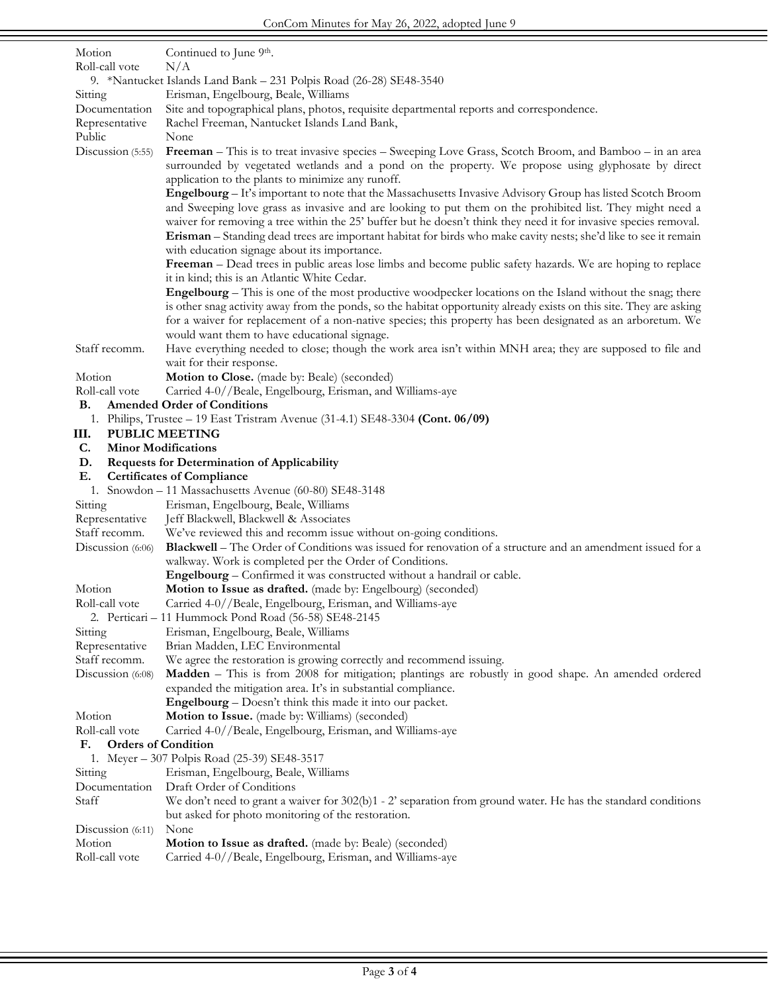| Motion                                                   | Continued to June 9th.                                                                                                                                                                                                             |  |
|----------------------------------------------------------|------------------------------------------------------------------------------------------------------------------------------------------------------------------------------------------------------------------------------------|--|
| Roll-call vote                                           | N/A                                                                                                                                                                                                                                |  |
|                                                          | 9. *Nantucket Islands Land Bank – 231 Polpis Road (26-28) SE48-3540                                                                                                                                                                |  |
| Sitting<br>Documentation                                 | Erisman, Engelbourg, Beale, Williams<br>Site and topographical plans, photos, requisite departmental reports and correspondence.                                                                                                   |  |
| Representative                                           | Rachel Freeman, Nantucket Islands Land Bank,                                                                                                                                                                                       |  |
| Public                                                   | None                                                                                                                                                                                                                               |  |
| Discussion (5:55)                                        | Freeman – This is to treat invasive species – Sweeping Love Grass, Scotch Broom, and Bamboo – in an area<br>surrounded by vegetated wetlands and a pond on the property. We propose using glyphosate by direct                     |  |
|                                                          | application to the plants to minimize any runoff.<br>Engelbourg – It's important to note that the Massachusetts Invasive Advisory Group has listed Scotch Broom                                                                    |  |
|                                                          | and Sweeping love grass as invasive and are looking to put them on the prohibited list. They might need a<br>waiver for removing a tree within the 25' buffer but he doesn't think they need it for invasive species removal.      |  |
|                                                          | Erisman - Standing dead trees are important habitat for birds who make cavity nests; she'd like to see it remain<br>with education signage about its importance.                                                                   |  |
|                                                          | Freeman – Dead trees in public areas lose limbs and become public safety hazards. We are hoping to replace                                                                                                                         |  |
|                                                          | it in kind; this is an Atlantic White Cedar.<br>Engelbourg – This is one of the most productive woodpecker locations on the Island without the snag; there                                                                         |  |
|                                                          | is other snag activity away from the ponds, so the habitat opportunity already exists on this site. They are asking<br>for a waiver for replacement of a non-native species; this property has been designated as an arboretum. We |  |
|                                                          | would want them to have educational signage.                                                                                                                                                                                       |  |
| Staff recomm.                                            | Have everything needed to close; though the work area isn't within MNH area; they are supposed to file and<br>wait for their response.                                                                                             |  |
| Motion                                                   | Motion to Close. (made by: Beale) (seconded)                                                                                                                                                                                       |  |
| Roll-call vote                                           | Carried 4-0//Beale, Engelbourg, Erisman, and Williams-aye                                                                                                                                                                          |  |
| В.                                                       | <b>Amended Order of Conditions</b>                                                                                                                                                                                                 |  |
|                                                          | 1. Philips, Trustee - 19 East Tristram Avenue (31-4.1) SE48-3304 (Cont. 06/09)                                                                                                                                                     |  |
| Ш.                                                       | <b>PUBLIC MEETING</b>                                                                                                                                                                                                              |  |
| C.<br><b>Minor Modifications</b>                         |                                                                                                                                                                                                                                    |  |
| <b>Requests for Determination of Applicability</b><br>D. |                                                                                                                                                                                                                                    |  |
| Ε.                                                       | <b>Certificates of Compliance</b>                                                                                                                                                                                                  |  |
| Sitting                                                  | 1. Snowdon - 11 Massachusetts Avenue (60-80) SE48-3148<br>Erisman, Engelbourg, Beale, Williams                                                                                                                                     |  |
| Representative                                           | Jeff Blackwell, Blackwell & Associates                                                                                                                                                                                             |  |
| Staff recomm.                                            | We've reviewed this and recomm issue without on-going conditions.                                                                                                                                                                  |  |
| Discussion (6:06)                                        | Blackwell – The Order of Conditions was issued for renovation of a structure and an amendment issued for a                                                                                                                         |  |
|                                                          | walkway. Work is completed per the Order of Conditions.                                                                                                                                                                            |  |
| Motion                                                   | Engelbourg - Confirmed it was constructed without a handrail or cable.<br>Motion to Issue as drafted. (made by: Engelbourg) (seconded)                                                                                             |  |
| Roll-call vote                                           | Carried 4-0//Beale, Engelbourg, Erisman, and Williams-aye                                                                                                                                                                          |  |
|                                                          | 2. Perticari - 11 Hummock Pond Road (56-58) SE48-2145                                                                                                                                                                              |  |
| Sitting<br>Representative                                | Erisman, Engelbourg, Beale, Williams<br>Brian Madden, LEC Environmental                                                                                                                                                            |  |
| Staff recomm.                                            | We agree the restoration is growing correctly and recommend issuing.                                                                                                                                                               |  |
| Discussion (6:08)                                        | Madden – This is from 2008 for mitigation; plantings are robustly in good shape. An amended ordered                                                                                                                                |  |
|                                                          | expanded the mitigation area. It's in substantial compliance.                                                                                                                                                                      |  |
|                                                          | <b>Engelbourg</b> – Doesn't think this made it into our packet.                                                                                                                                                                    |  |
| Motion                                                   | Motion to Issue. (made by: Williams) (seconded)                                                                                                                                                                                    |  |
| Roll-call vote                                           | Carried 4-0//Beale, Engelbourg, Erisman, and Williams-aye                                                                                                                                                                          |  |
| <b>Orders of Condition</b><br>F.                         |                                                                                                                                                                                                                                    |  |
|                                                          | 1. Meyer - 307 Polpis Road (25-39) SE48-3517                                                                                                                                                                                       |  |
| Sitting<br>Documentation                                 | Erisman, Engelbourg, Beale, Williams<br>Draft Order of Conditions                                                                                                                                                                  |  |
| Staff                                                    | We don't need to grant a waiver for $302(b)1 - 2$ ' separation from ground water. He has the standard conditions                                                                                                                   |  |
|                                                          | but asked for photo monitoring of the restoration.                                                                                                                                                                                 |  |
| Discussion $(6:11)$                                      | None                                                                                                                                                                                                                               |  |
| Motion                                                   | Motion to Issue as drafted. (made by: Beale) (seconded)                                                                                                                                                                            |  |
| Roll-call vote                                           | Carried 4-0//Beale, Engelbourg, Erisman, and Williams-aye                                                                                                                                                                          |  |